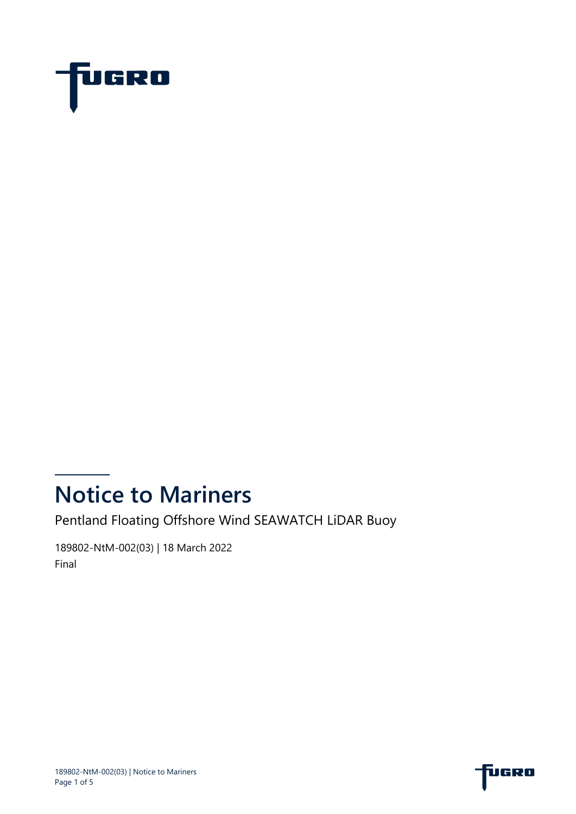

# **Notice to Mariners**

Pentland Floating Offshore Wind SEAWATCH LiDAR Buoy

189802-NtM-002(03) | 18 March 2022 Final

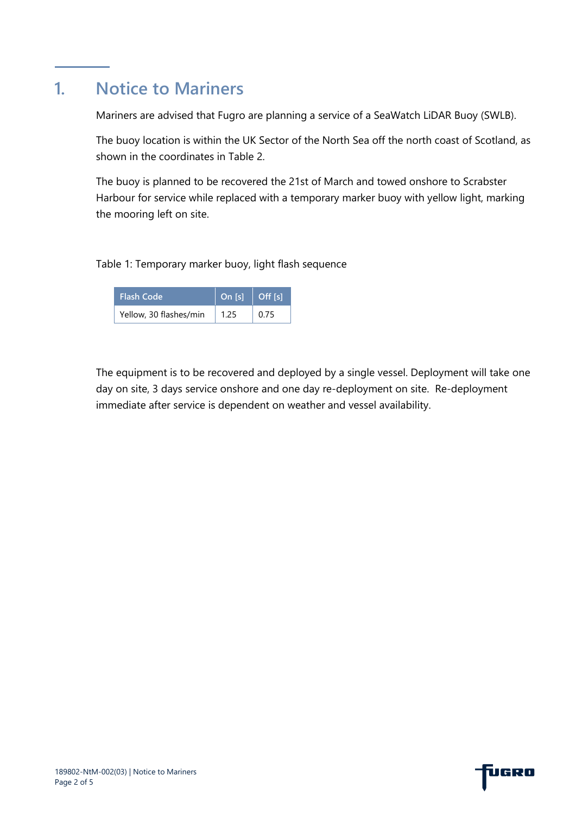### **1. Notice to Mariners**

Mariners are advised that Fugro are planning a service of a SeaWatch LiDAR Buoy (SWLB).

The buoy location is within the UK Sector of the North Sea off the north coast of Scotland, as shown in the coordinates in [Table 2.](#page-2-0)

The buoy is planned to be recovered the 21st of March and towed onshore to Scrabster Harbour for service while replaced with a temporary marker buoy with yellow light, marking the mooring left on site.

#### Table 1: Temporary marker buoy, light flash sequence

| <b>Flash Code</b>      | On $[s]$ | <b>Off</b> Isl |
|------------------------|----------|----------------|
| Yellow, 30 flashes/min | 1.25     | 0.75           |

The equipment is to be recovered and deployed by a single vessel. Deployment will take one day on site, 3 days service onshore and one day re-deployment on site. Re-deployment immediate after service is dependent on weather and vessel availability.

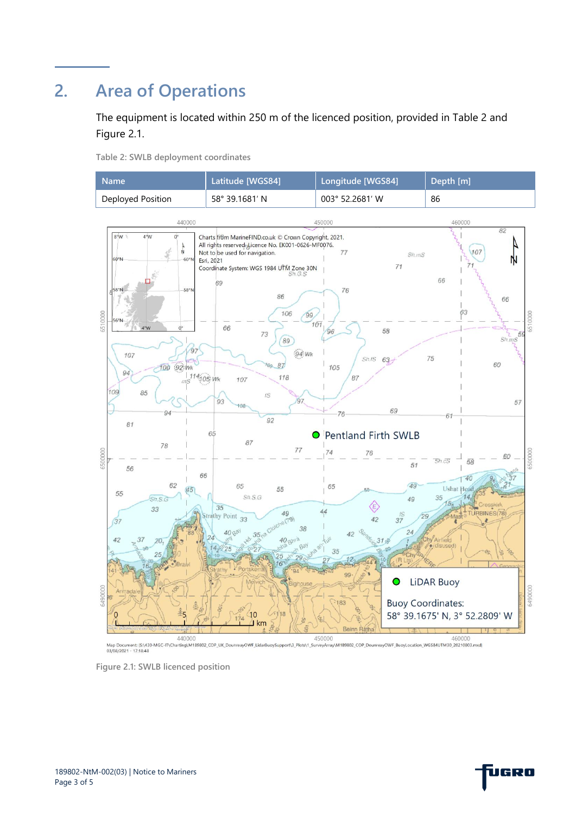# **2. Area of Operations**

The equipment is located within 250 m of the licenced position, provided in [Table 2](#page-2-0) and [Figure 2.1.](#page-2-1)

<span id="page-2-0"></span>**Table 2: SWLB deployment coordinates**

| <b>Name</b>       | Latitude [WGS84] | Longitude [WGS84] | Depth [m] |
|-------------------|------------------|-------------------|-----------|
| Deployed Position | 58° 39.1681′ N   | 003° 52.2681′ W   | 86        |
|                   |                  |                   |           |



<span id="page-2-1"></span>**Figure 2.1: SWLB licenced position**

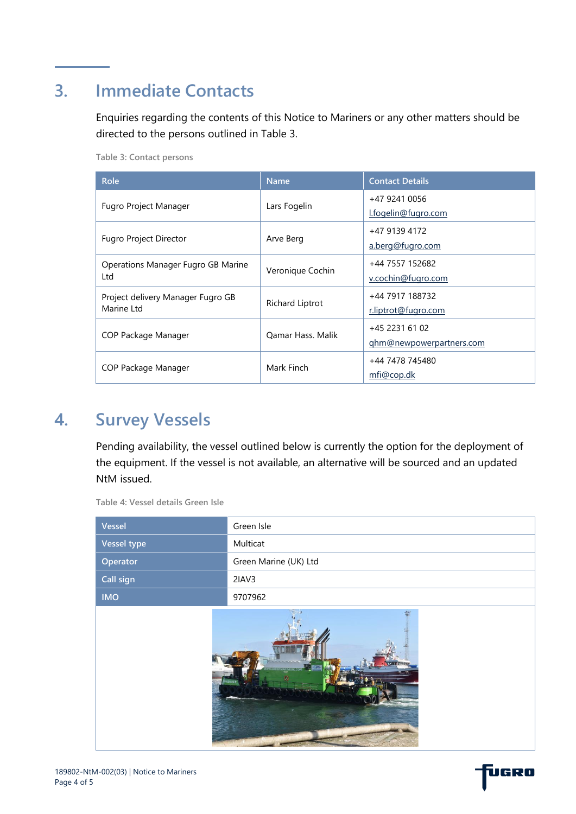# **3. Immediate Contacts**

Enquiries regarding the contents of this Notice to Mariners or any other matters should be directed to the persons outlined in [Table 3.](#page-3-0)

<span id="page-3-0"></span>**Table 3: Contact persons**

| <b>Role</b>                                                          | <b>Name</b>              | <b>Contact Details</b>   |
|----------------------------------------------------------------------|--------------------------|--------------------------|
| Fugro Project Manager                                                | Lars Fogelin             | +47 9241 0056            |
|                                                                      |                          | l.fogelin@fugro.com      |
| Arve Berg<br><b>Fugro Project Director</b>                           |                          | +47 9139 4172            |
|                                                                      |                          | a.berg@fugro.com         |
| <b>Operations Manager Fugro GB Marine</b><br>Veronique Cochin<br>Ltd |                          | +44 7557 152682          |
|                                                                      |                          | v.cochin@fugro.com       |
| Project delivery Manager Fugro GB                                    |                          | +44 7917 188732          |
| Marine Ltd                                                           | Richard Liptrot          | r.liptrot@fugro.com      |
| COP Package Manager                                                  | <b>Oamar Hass, Malik</b> | +45 2231 61 02           |
|                                                                      |                          | ghm@newpowerpartners.com |
| COP Package Manager                                                  | Mark Finch               | +44 7478 745480          |
|                                                                      |                          | mfi@cop.dk               |

#### **4. Survey Vessels**

Pending availability, the vessel outlined below is currently the option for the deployment of the equipment. If the vessel is not available, an alternative will be sourced and an updated NtM issued.

| Vessel      | Green Isle            |  |
|-------------|-----------------------|--|
| Vessel type | Multicat              |  |
| Operator    | Green Marine (UK) Ltd |  |
| Call sign   | 2IAV3                 |  |
| <b>IMO</b>  | 9707962               |  |
|             |                       |  |

**Table 4: Vessel details Green Isle**